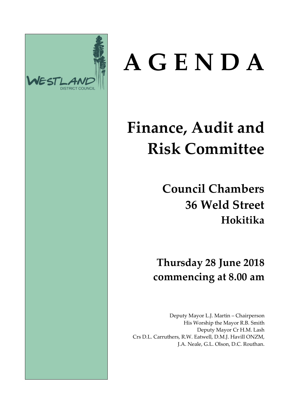

# **A G E N D A**

# **Finance, Audit and Risk Committee**

**Council Chambers 36 Weld Street Hokitika**

**Thursday 28 June 2018 commencing at 8.00 am**

Deputy Mayor L.J. Martin – Chairperson His Worship the Mayor R.B. Smith Deputy Mayor Cr H.M. Lash Crs D.L. Carruthers, R.W. Eatwell, D.M.J. Havill ONZM, J.A. Neale, G.L. Olson, D.C. Routhan.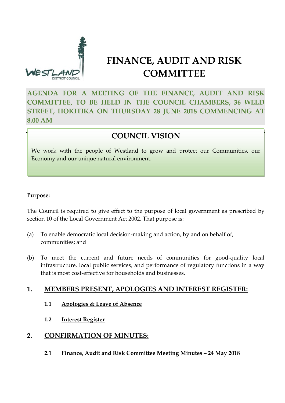

## **FINANCE, AUDIT AND RISK COMMITTEE**

**AGENDA FOR A MEETING OF THE FINANCE, AUDIT AND RISK COMMITTEE, TO BE HELD IN THE COUNCIL CHAMBERS, 36 WELD STREET, HOKITIKA ON THURSDAY 28 JUNE 2018 COMMENCING AT 8.00 AM**

#### **COUNCIL VISION**

We work with the people of Westland to grow and protect our Communities, our Economy and our unique natural environment.

#### **Purpose:**

The Council is required to give effect to the purpose of local government as prescribed by section 10 of the Local Government Act 2002. That purpose is:

- (a) To enable democratic local decision-making and action, by and on behalf of, communities; and
- (b) To meet the current and future needs of communities for good-quality local infrastructure, local public services, and performance of regulatory functions in a way that is most cost-effective for households and businesses.

#### **1. MEMBERS PRESENT, APOLOGIES AND INTEREST REGISTER:**

- **1.1 Apologies & Leave of Absence**
- **1.2 Interest Register**

#### **2. CONFIRMATION OF MINUTES:**

**2.1 Finance, Audit and Risk Committee Meeting Minutes – 24 May 2018**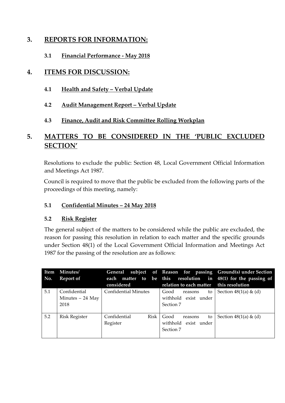#### **3. REPORTS FOR INFORMATION:**

**3.1 Financial Performance - May 2018**

#### **4. ITEMS FOR DISCUSSION:**

- **4.1 Health and Safety Verbal Update**
- **4.2 Audit Management Report Verbal Update**
- **4.3 Finance, Audit and Risk Committee Rolling Workplan**

#### **5. MATTERS TO BE CONSIDERED IN THE 'PUBLIC EXCLUDED SECTION'**

Resolutions to exclude the public: Section 48, Local Government Official Information and Meetings Act 1987.

Council is required to move that the public be excluded from the following parts of the proceedings of this meeting, namely:

#### **5.1 Confidential Minutes – 24 May 2018**

#### **5.2 Risk Register**

The general subject of the matters to be considered while the public are excluded, the reason for passing this resolution in relation to each matter and the specific grounds under Section 48(1) of the Local Government Official Information and Meetings Act 1987 for the passing of the resolution are as follows:

| Item<br>No. | Minutes/<br><b>Report of</b>              | each<br>considered               | General subject of Reason for passing<br>relation to each matter this resolution | <b>Ground(s)</b> under Section<br>matter to be this resolution in 48(1) for the passing of |
|-------------|-------------------------------------------|----------------------------------|----------------------------------------------------------------------------------|--------------------------------------------------------------------------------------------|
| 5.1         | Confidential<br>Minutes $-24$ May<br>2018 | Confidential Minutes             | Good<br>to<br>reasons<br>withhold exist under<br>Section 7                       | Section $48(1(a) \& (d)$                                                                   |
| 5.2         | <b>Risk Register</b>                      | Confidential<br>Risk<br>Register | Good<br>to<br>reasons<br>withhold exist under<br>Section 7                       | Section $48(1(a) \& (d)$                                                                   |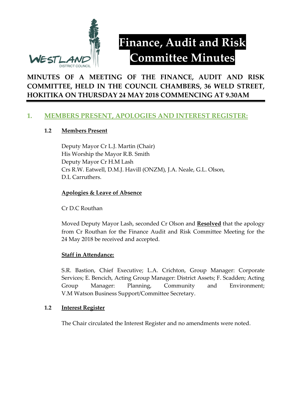

# **Finance, Audit and Risk Committee Minutes**

#### **MINUTES OF A MEETING OF THE FINANCE, AUDIT AND RISK COMMITTEE, HELD IN THE COUNCIL CHAMBERS, 36 WELD STREET, HOKITIKA ON THURSDAY 24 MAY 2018 COMMENCING AT 9.30AM**

#### **1. MEMBERS PRESENT, APOLOGIES AND INTEREST REGISTER:**

#### **1.2 Members Present**

Deputy Mayor Cr L.J. Martin (Chair) His Worship the Mayor R.B. Smith Deputy Mayor Cr H.M Lash Crs R.W. Eatwell, D.M.J. Havill (ONZM), J.A. Neale, G.L. Olson, D.L Carruthers.

#### **Apologies & Leave of Absence**

Cr D.C Routhan

Moved Deputy Mayor Lash, seconded Cr Olson and **Resolved** that the apology from Cr Routhan for the Finance Audit and Risk Committee Meeting for the 24 May 2018 be received and accepted.

#### **Staff in Attendance:**

S.R. Bastion, Chief Executive; L.A. Crichton, Group Manager: Corporate Services; E. Bencich, Acting Group Manager: District Assets; F. Scadden; Acting Group Manager: Planning, Community and Environment; V.M Watson Business Support/Committee Secretary.

#### **1.2 Interest Register**

The Chair circulated the Interest Register and no amendments were noted.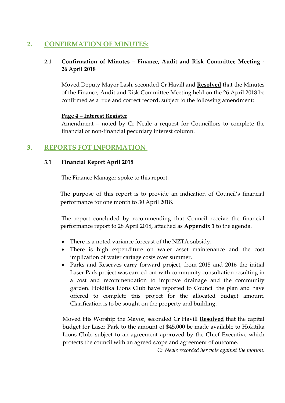#### **2. CONFIRMATION OF MINUTES:**

#### **2.1 Confirmation of Minutes – Finance, Audit and Risk Committee Meeting - 26 April 2018**

Moved Deputy Mayor Lash, seconded Cr Havill and **Resolved** that the Minutes of the Finance, Audit and Risk Committee Meeting held on the 26 April 2018 be confirmed as a true and correct record, subject to the following amendment:

#### **Page 4 – Interest Register**

Amendment – noted by Cr Neale a request for Councillors to complete the financial or non-financial pecuniary interest column.

#### **3. REPORTS FOT INFORMATION**

#### **3.1 Financial Report April 2018**

The Finance Manager spoke to this report.

The purpose of this report is to provide an indication of Council's financial performance for one month to 30 April 2018.

The report concluded by recommending that Council receive the financial performance report to 28 April 2018, attached as **Appendix 1** to the agenda.

- There is a noted variance forecast of the NZTA subsidy.
- There is high expenditure on water asset maintenance and the cost implication of water cartage costs over summer.
- Parks and Reserves carry forward project, from 2015 and 2016 the initial Laser Park project was carried out with community consultation resulting in a cost and recommendation to improve drainage and the community garden. Hokitika Lions Club have reported to Council the plan and have offered to complete this project for the allocated budget amount. Clarification is to be sought on the property and building.

Moved His Worship the Mayor, seconded Cr Havill **Resolved** that the capital budget for Laser Park to the amount of \$45,000 be made available to Hokitika Lions Club, subject to an agreement approved by the Chief Executive which protects the council with an agreed scope and agreement of outcome.

*Cr Neale recorded her vote against the motion.*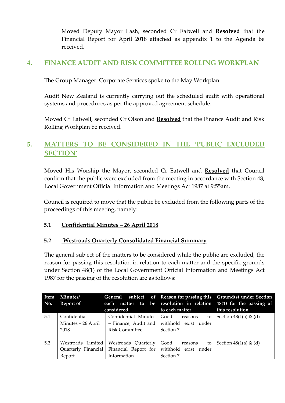Moved Deputy Mayor Lash, seconded Cr Eatwell and **Resolved** that the Financial Report for April 2018 attached as appendix 1 to the Agenda be received.

#### **4. FINANCE AUDIT AND RISK COMMITTEE ROLLING WORKPLAN**

The Group Manager: Corporate Services spoke to the May Workplan.

Audit New Zealand is currently carrying out the scheduled audit with operational systems and procedures as per the approved agreement schedule.

Moved Cr Eatwell, seconded Cr Olson and **Resolved** that the Finance Audit and Risk Rolling Workplan be received.

#### **5. MATTERS TO BE CONSIDERED IN THE 'PUBLIC EXCLUDED SECTION'**

Moved His Worship the Mayor, seconded Cr Eatwell and **Resolved** that Council confirm that the public were excluded from the meeting in accordance with Section 48, Local Government Official Information and Meetings Act 1987 at 9:55am.

Council is required to move that the public be excluded from the following parts of the proceedings of this meeting, namely:

#### **5.1 Confidential Minutes – 26 April 2018**

#### **5.2 Westroads Quarterly Consolidated Financial Summary**

The general subject of the matters to be considered while the public are excluded, the reason for passing this resolution in relation to each matter and the specific grounds under Section 48(1) of the Local Government Official Information and Meetings Act 1987 for the passing of the resolution are as follows:

| Item | Minutes/           |                                            |                         | General subject of Reason for passing this Ground(s) under Section |
|------|--------------------|--------------------------------------------|-------------------------|--------------------------------------------------------------------|
| No.  | Report of          |                                            |                         | each matter to be resolution in relation 48(1) for the passing of  |
|      |                    | considered                                 | to each matter          | this resolution                                                    |
| 5.1  | Confidential       | Confidential Minutes                       | Good<br>to l<br>reasons | Section $48(1(a) \& (d)$                                           |
|      | Minutes – 26 April | - Finance, Audit and                       | withhold exist under    |                                                                    |
|      | 2018               | <b>Risk Committee</b>                      | Section 7               |                                                                    |
|      |                    |                                            |                         |                                                                    |
| 5.2  | Westroads Limited  | Westroads Quarterly                        | Good<br>to<br>reasons   | Section $48(1(a) \& (d)$                                           |
|      |                    | Quarterly Financial   Financial Report for | withhold exist under    |                                                                    |
|      | Report             | Information                                | Section 7               |                                                                    |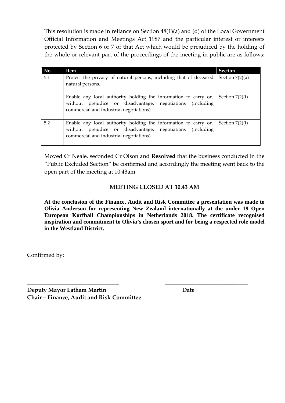This resolution is made in reliance on Section 48(1)(a) and (d) of the Local Government Official Information and Meetings Act 1987 and the particular interest or interests protected by Section 6 or 7 of that Act which would be prejudiced by the holding of the whole or relevant part of the proceedings of the meeting in public are as follows:

| No. | Item                                                                                                                                                                                                         | <b>Section</b>    |
|-----|--------------------------------------------------------------------------------------------------------------------------------------------------------------------------------------------------------------|-------------------|
| 5.1 | Protect the privacy of natural persons, including that of deceased<br>natural persons.                                                                                                                       | Section $7(2)(a)$ |
|     | Enable any local authority holding the information to carry on,<br>without prejudice or disadvantage, negotiations (including<br>commercial and industrial negotiations).                                    | Section $7(2)(i)$ |
| 5.2 | Enable any local authority holding the information to carry on, $\vert$ Section 7(2)(i)<br>without prejudice or disadvantage, negotiations<br><i>(including)</i><br>commercial and industrial negotiations). |                   |

Moved Cr Neale, seconded Cr Olson and **Resolved** that the business conducted in the "Public Excluded Section" be confirmed and accordingly the meeting went back to the open part of the meeting at 10:43am

#### **MEETING CLOSED AT 10.43 AM**

**At the conclusion of the Finance, Audit and Risk Committee a presentation was made to Olivia Anderson for representing New Zealand internationally at the under 19 Open European Korfball Championships in Netherlands 2018. The certificate recognised inspiration and commitment to Olivia's chosen sport and for being a respected role model in the Westland District.**

**\_\_\_\_\_\_\_\_\_\_\_\_\_\_\_\_\_\_\_\_\_\_\_\_\_\_\_\_\_\_\_\_ \_\_\_\_\_\_\_\_\_\_\_\_\_\_\_\_\_\_\_\_\_\_\_\_\_\_\_\_\_**

Confirmed by:

**Deputy Mayor Latham Martin Date Chair – Finance, Audit and Risk Committee**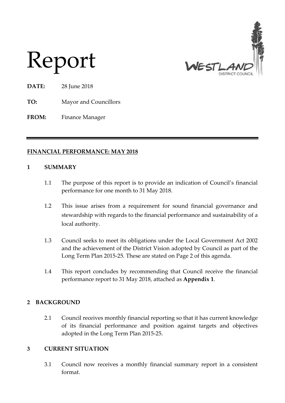

Report

**DATE:** 28 June 2018

**TO:** Mayor and Councillors

**FROM:** Finance Manager

#### **FINANCIAL PERFORMANCE: MAY 2018**

#### **1 SUMMARY**

- 1.1 The purpose of this report is to provide an indication of Council's financial performance for one month to 31 May 2018.
- 1.2 This issue arises from a requirement for sound financial governance and stewardship with regards to the financial performance and sustainability of a local authority.
- 1.3 Council seeks to meet its obligations under the Local Government Act 2002 and the achievement of the District Vision adopted by Council as part of the Long Term Plan 2015-25. These are stated on Page 2 of this agenda.
- 1.4 This report concludes by recommending that Council receive the financial performance report to 31 May 2018, attached as **Appendix 1**.

#### **2 BACKGROUND**

2.1 Council receives monthly financial reporting so that it has current knowledge of its financial performance and position against targets and objectives adopted in the Long Term Plan 2015-25.

#### **3 CURRENT SITUATION**

3.1 Council now receives a monthly financial summary report in a consistent format.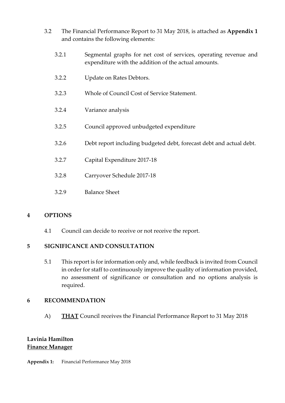3.2 The Financial Performance Report to 31 May 2018, is attached as **Appendix 1** and contains the following elements:

| 3.2.1 | Segmental graphs for net cost of services, operating revenue and |  |  |  |  |
|-------|------------------------------------------------------------------|--|--|--|--|
|       | expenditure with the addition of the actual amounts.             |  |  |  |  |

- 3.2.2 Update on Rates Debtors.
- 3.2.3 Whole of Council Cost of Service Statement.
- 3.2.4 Variance analysis
- 3.2.5 Council approved unbudgeted expenditure
- 3.2.6 Debt report including budgeted debt, forecast debt and actual debt.
- 3.2.7 Capital Expenditure 2017-18
- 3.2.8 Carryover Schedule 2017-18
- 3.2.9 Balance Sheet

#### **4 OPTIONS**

4.1 Council can decide to receive or not receive the report.

#### **5 SIGNIFICANCE AND CONSULTATION**

5.1 This report is for information only and, while feedback is invited from Council in order for staff to continuously improve the quality of information provided, no assessment of significance or consultation and no options analysis is required.

#### **6 RECOMMENDATION**

A) **THAT** Council receives the Financial Performance Report to 31 May 2018

#### **Lavinia Hamilton Finance Manager**

**Appendix 1:** Financial Performance May 2018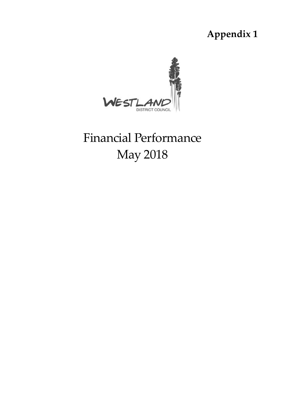### **Appendix 1**



# Financial Performance May 2018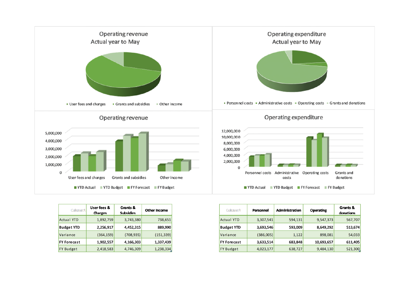

| Columnn1           | User fees &<br><b>Charges</b> | Grants &<br><b>Subsidies</b> | <b>Other Income</b> |
|--------------------|-------------------------------|------------------------------|---------------------|
| <b>Actual YTD</b>  | 1,892,759                     | 3,743,380                    | 738,651             |
| <b>Budget YTD</b>  | 2,256,917                     | 4,452,315                    | 889,990             |
| Variance           | (364, 159)                    | (708, 935)                   | (151, 339)          |
| <b>FY Forecast</b> | 1,902,557                     | 4,166,303                    | 1,337,439           |
| <b>FY Budget</b>   | 2,418,583                     | 4,746,309                    | 1,238,334           |

| <b>Columnil</b>    | Personnel | <b>Administration</b> | <b>Operating</b> | Grants &<br>donations |
|--------------------|-----------|-----------------------|------------------|-----------------------|
| <b>Actual YTD</b>  | 3,307,541 | 594,131               | 9,547,373        | 567,707               |
| <b>Budget YTD</b>  | 3,693,546 | 593,009               | 8,649,292        | 513,674               |
| Variance           | (386,005) | 1,122                 | 898,081          | 54,033                |
| <b>FY Forecast</b> | 3,633,514 | 683,848               | 10,693,657       | 611,405               |
| <b>FY Budget</b>   | 4,023,177 | 638,727               | 9,484,130        | 521,300               |